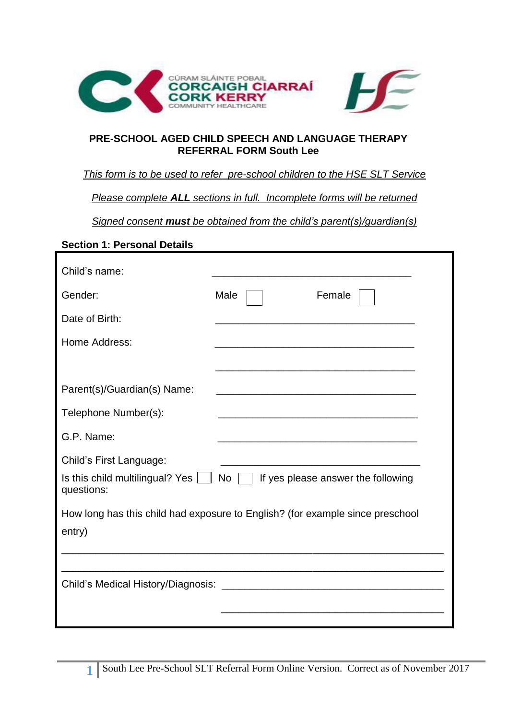

#### **PRE-SCHOOL AGED CHILD SPEECH AND LANGUAGE THERAPY REFERRAL FORM South Lee**

### *This form is to be used to refer pre-school children to the HSE SLT Service*

*Please complete ALL sections in full. Incomplete forms will be returned*

*Signed consent must be obtained from the child's parent(s)/guardian(s)*

### **Section 1: Personal Details**

| Child's name:                                                                   |                                                                                                                      |
|---------------------------------------------------------------------------------|----------------------------------------------------------------------------------------------------------------------|
| Gender:                                                                         | Male<br>Female                                                                                                       |
| Date of Birth:                                                                  |                                                                                                                      |
| Home Address:                                                                   |                                                                                                                      |
|                                                                                 |                                                                                                                      |
| Parent(s)/Guardian(s) Name:                                                     |                                                                                                                      |
| Telephone Number(s):                                                            | <u> 1989 - Johann Stein, marwolaethau a bhann an t-Amhainn an t-Amhainn an t-Amhainn an t-Amhainn an t-Amhainn a</u> |
| G.P. Name:                                                                      |                                                                                                                      |
| Child's First Language:<br>Is this child multilingual? Yes $\Box$<br>questions: | If yes please answer the following<br>No                                                                             |
| entry)                                                                          | How long has this child had exposure to English? (for example since preschool                                        |
| Child's Medical History/Diagnosis:                                              |                                                                                                                      |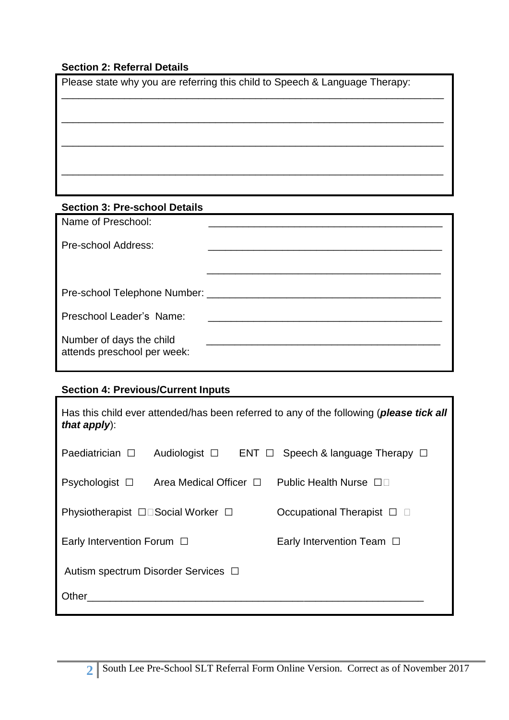# **Section 2: Referral Details**

| Please state why you are referring this child to Speech & Language Therapy: |  |  |  |
|-----------------------------------------------------------------------------|--|--|--|
|                                                                             |  |  |  |
|                                                                             |  |  |  |
|                                                                             |  |  |  |
|                                                                             |  |  |  |
|                                                                             |  |  |  |
|                                                                             |  |  |  |
| <b>Section 3: Pre-school Details</b>                                        |  |  |  |

| Name of Preschool:                                      |  |
|---------------------------------------------------------|--|
| Pre-school Address:                                     |  |
|                                                         |  |
| Pre-school Telephone Number: ________________           |  |
| Preschool Leader's Name:                                |  |
| Number of days the child<br>attends preschool per week: |  |

# **Section 4: Previous/Current Inputs**

| Has this child ever attended/has been referred to any of the following (please tick all<br>that $apply)$ : |                                  |                                  |  |  |
|------------------------------------------------------------------------------------------------------------|----------------------------------|----------------------------------|--|--|
| Paediatrician $\Box$                                                                                       | Audiologist $\Box$<br>$ENT \Box$ | Speech & language Therapy $\Box$ |  |  |
| Psychologist $\square$                                                                                     | Area Medical Officer $\Box$      | Public Health Nurse □□           |  |  |
| Physiotherapist □□Social Worker □                                                                          |                                  | Occupational Therapist □         |  |  |
| Early Intervention Forum $\Box$                                                                            |                                  | Early Intervention Team $\Box$   |  |  |
| Autism spectrum Disorder Services □                                                                        |                                  |                                  |  |  |
| Other                                                                                                      |                                  |                                  |  |  |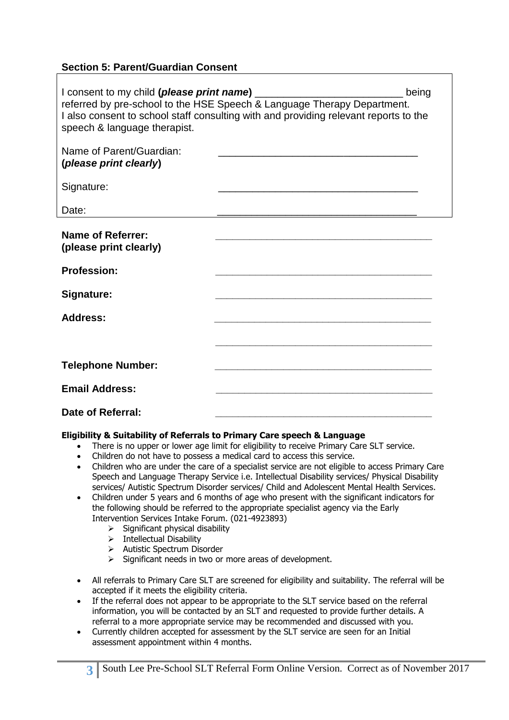### **Section 5: Parent/Guardian Consent**

| I consent to my child (please print name)<br>speech & language therapist. | referred by pre-school to the HSE Speech & Language Therapy Department.<br>I also consent to school staff consulting with and providing relevant reports to the | being |
|---------------------------------------------------------------------------|-----------------------------------------------------------------------------------------------------------------------------------------------------------------|-------|
| Name of Parent/Guardian:<br>(please print clearly)                        |                                                                                                                                                                 |       |
| Signature:                                                                |                                                                                                                                                                 |       |
| Date:                                                                     |                                                                                                                                                                 |       |
| <b>Name of Referrer:</b><br>(please print clearly)                        | <u> 1990 - Johann Barbara, martxa alemaniar a</u>                                                                                                               |       |
| <b>Profession:</b>                                                        |                                                                                                                                                                 |       |
| Signature:                                                                |                                                                                                                                                                 |       |
| <b>Address:</b>                                                           |                                                                                                                                                                 |       |
|                                                                           |                                                                                                                                                                 |       |
| <b>Telephone Number:</b>                                                  |                                                                                                                                                                 |       |
| <b>Email Address:</b>                                                     |                                                                                                                                                                 |       |
| Date of Referral:                                                         |                                                                                                                                                                 |       |

#### **Eligibility & Suitability of Referrals to Primary Care speech & Language**

- There is no upper or lower age limit for eligibility to receive Primary Care SLT service.
- Children do not have to possess a medical card to access this service.
- Children who are under the care of a specialist service are not eligible to access Primary Care Speech and Language Therapy Service i.e. Intellectual Disability services/ Physical Disability services/ Autistic Spectrum Disorder services/ Child and Adolescent Mental Health Services.
- Children under 5 years and 6 months of age who present with the significant indicators for the following should be referred to the appropriate specialist agency via the Early Intervention Services Intake Forum. (021-4923893)
	- $\triangleright$  Significant physical disability
	- $\triangleright$  Intellectual Disability

**3**

- $\triangleright$  Autistic Spectrum Disorder
- $\triangleright$  Significant needs in two or more areas of development.
- All referrals to Primary Care SLT are screened for eligibility and suitability. The referral will be accepted if it meets the eligibility criteria.
- If the referral does not appear to be appropriate to the SLT service based on the referral information, you will be contacted by an SLT and requested to provide further details. A referral to a more appropriate service may be recommended and discussed with you.
- Currently children accepted for assessment by the SLT service are seen for an Initial assessment appointment within 4 months.